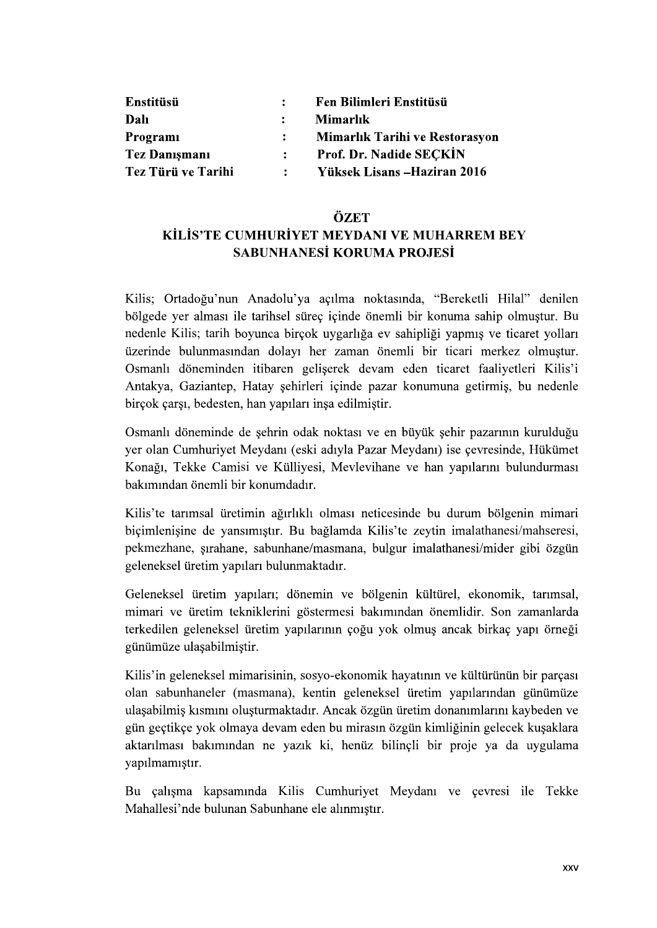| Enstitüsü            |                | Fen Bilimleri Enstitüsü        |
|----------------------|----------------|--------------------------------|
| Dalı                 |                | Mimarlık                       |
| Programi             | $\ddot{\cdot}$ | Mimarlık Tarihi ve Restorasyon |
| <b>Tez Danışmanı</b> | $\mathbf{L}$   | Prof. Dr. Nadide SECKIN        |
| Tez Türü ve Tarihi   | $\mathbf{L}$   | Yüksek Lisans – Haziran 2016   |

## ÖZET

## KİLİS'TE CUMHURİYET MEYDANI VE MUHARREM BEY SABUNHANESİ KORUMA PROJESİ

Kilis; Ortadoğu'nun Anadolu'ya açılma noktasında, "Bereketli Hilal" denilen bölgede yer alması ile tarihsel süreç içinde önemli bir konuma sahip olmuştur. Bu nedenle Kilis; tarih boyunca birçok uygarlığa ev sahipliği yapmış ve ticaret yolları üzerinde bulunmasından dolayı her zaman önemli bir ticari merkez olmustur. Osmanlı döneminden itibaren geliserek devam eden ticaret faalivetleri Kilis'i Antakya, Gaziantep, Hatay şehirleri içinde pazar konumuna getirmiş, bu nedenle birçok çarşı, bedesten, han yapıları inşa edilmiştir.

Osmanlı döneminde de sehrin odak noktası ve en büyük sehir pazarının kurulduğu yer olan Cumhuriyet Meydanı (eski adıyla Pazar Meydanı) ise çevresinde, Hükümet Konağı, Tekke Camisi ve Küllivesi, Mevlevihane ve han yapılarını bulundurması

bakımından önemli bir konumdadır.<br>Kilis'te tarımsal üretimin ağırlıklı olması neticesinde bu durum bölgenin mimari<br>biçimlenişine de yansımıştır. Bu bağlamda Kilis'te zeytin imalathanesi/mahseresi, pekmezhane, sırahane, sabunhane/masmana, bulgur imalathanesi/mider gibi özgün geleneksel üretim yapıları bulunmaktadır.

Geleneksel üretim yapıları; dönemin ve bölgenin kültürel, ekonomik, tarımsal, mimari ve üretim tekniklerini göstermesi bakımından önemlidir. Son zamanlarda terkedilen geleneksel üretim yapılarının çoğu yok olmuş ancak birkaç yapı örneği günümüze ulaşabilmiştir.

Kilis'in geleneksel mimarisinin, sosyo-ekonomik hayatının ve kültürünün bir parçası olan sabunhaneler (masmana), kentin geleneksel üretim yapılarından günümüze ulaşabilmiş kısmını oluşturmaktadır. Ancak özgün üretim donanımlarını kaybeden ve gün geçtikçe yok olmaya devam eden bu mirasın özgün kimliğinin gelecek kuşaklara aktarılması bakımından ne yazık ki, henüz bilincli bir proje ya da uygulama yapılmamıştır.

Bu çalışma kapsamında Kilis Cumhuriyet Meydanı ve çevresi ile Tekke Mahallesi'nde bulunan Sabunhane ele alınmıştır.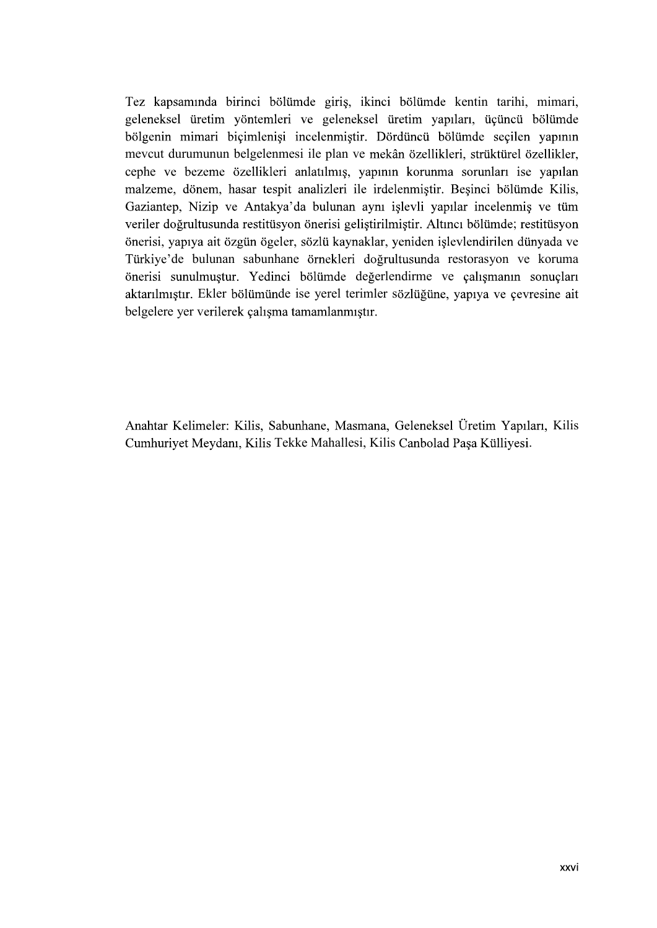Tez kapsamında birinci bölümde giriş, ikinci bölümde kentin tarihi, mimari, geleneksel üretim yöntemleri ve geleneksel üretim yapıları, üçüncü bölümde bölgenin mimari biçimlenişi incelenmiştir. Dördüncü bölümde seçilen yapının mevcut durumunun belgelenmesi ile plan ve cephe ve bezeme özellikleri anlatılmış, yapının korunma sorunları ise yapılan malzeme, dönem, hasar tespit analizleri ile irdelenmistir. Besinci bölümde Kilis, Gaziantep, Nizip ve Antakya'da bulunan aynı işlevli yapılar incelenmiş ve tüm veriler doğrultusunda restitüsyon önerisi gelistirilmiştir. Altıncı bölümde; restitüsyon önerisi, yapıya ait özgün ögeler, sözlü kaynaklar, yeniden işlevlendirilen dünyada ve<br>Türkiye'de bulunan sabunhane örnekleri doğrultusunda restorasyon ve koruma önerisi sunulmuştur. Yedinci bölümde değerlendirme ve çalışmanın sonuçları aktarılmıştır. Ekler bölümünde ise yerel terimler sözlüğüne, yapıya ve çevresine ait belgelere yer verilerek çalışma tamamlanmıştır.

Anahtar Kelimeler: Kilis, Sabunhane, Masmana, Geleneksel Üretim Yapıları, Kilis Cumhuriyet Meydanı, Kilis Tekke Mahallesi, Kilis Canbolad Paşa Külliyesi.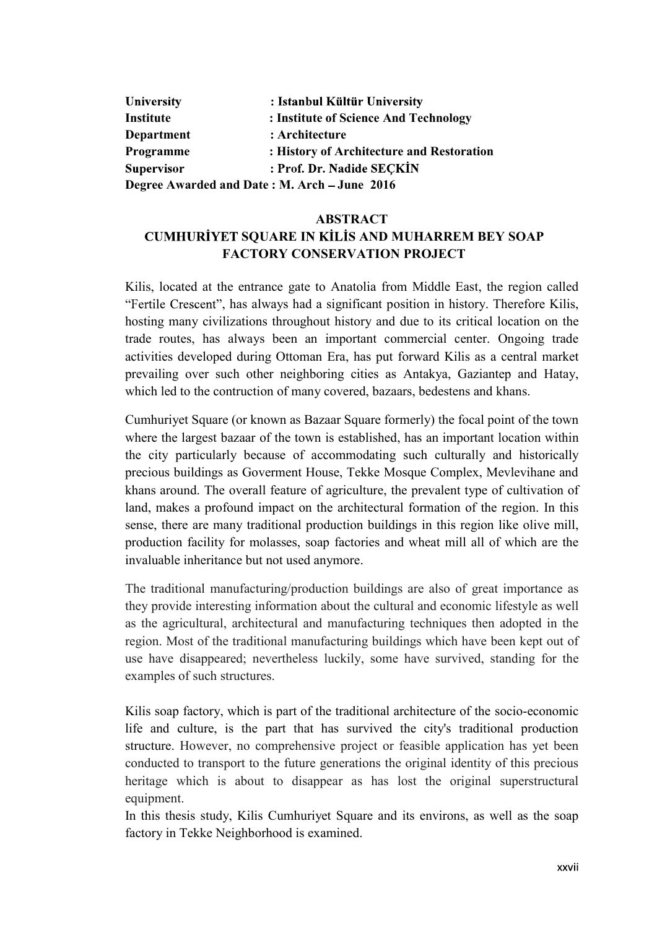| University                                   | : Istanbul Kültür University              |  |
|----------------------------------------------|-------------------------------------------|--|
| Institute                                    | : Institute of Science And Technology     |  |
| <b>Department</b>                            | : Architecture                            |  |
| Programme                                    | : History of Architecture and Restoration |  |
| <b>Supervisor</b>                            | : Prof. Dr. Nadide SECKIN                 |  |
| Degree Awarded and Date: M. Arch - June 2016 |                                           |  |

## ABSTRACT CUMHURİYET SOUARE IN KİLİS AND MUHARREM BEY SOAP FACTORY CONSERVATION PROJECT

Kilis, located at the entrance gate to Anatolia from Middle East, the region called "Fertile Crescent", has always had a significant position in history. Therefore Kilis, hosting many civilizations throughout history and due to its critical location on the trade routes, has always been an important commercial center. Ongoing trade activities developed during Ottoman Era, has put forward Kilis as a central market prevailing over such other neighboring cities as Antakya, Gaziantep and Hatay, which led to the contruction of many covered, bazaars, bedestens and khans.

Cumhuriyet Square (or known as Bazaar Square formerly) the focal point of the town where the largest bazaar of the town is established, has an important location within the city particularly because of accommodating such culturally and historically precious buildings as Goverment House, Tekke Mosque Complex, Mevlevihane and khans around. The overall feature of agriculture, the prevalent type of cultivation of land, makes a profound impact on the architectural formation of the region. In this sense, there are many traditional production buildings in this region like olive mill, production facility for molasses, soap factories and wheat mill all of which are the invaluable inheritance but not used anymore.

The traditional manufacturing/production buildings are also of great importance as they provide interesting information about the cultural and economic lifestyle as well as the agricultural, architectural and manufacturing techniques then adopted in the region. Most of the traditional manufacturing buildings which have been kept out of use have disappeared; nevertheless luckily, some have survived, standing for the examples of such structures.

Kilis soap factory, which is part of the traditional architecture of the socio-economic life and culture, is the part that has survived the city's traditional production structure. However, no comprehensive project or feasible application has yet been conducted to transport to the future generations the original identity of this precious heritage which is about to disappear as has lost the original superstructural equipment.

In this thesis study, Kilis Cumhuriyet Square and its environs, as well as the soap factory in Tekke Neighborhood is examined.